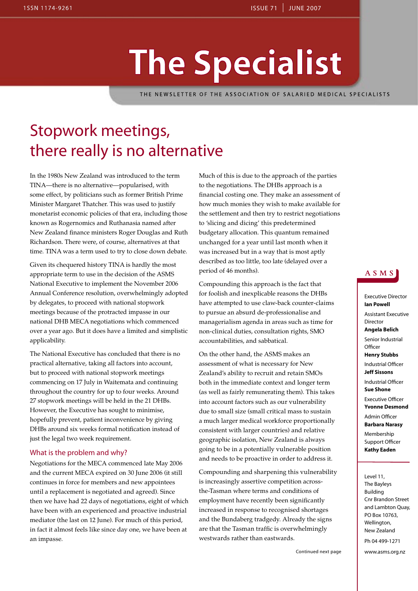# **The Specialist**

THE NEWSLETTER OF THE ASSOCIATION OF SALARIED MEDICAL SPECIALISTS

# Stopwork meetings, there really is no alternative

In the 1980s New Zealand was introduced to the term TINA—there is no alternative—popularised, with some effect, by politicians such as former British Prime Minister Margaret Thatcher. This was used to justify monetarist economic policies of that era, including those known as Rogernomics and Ruthanasia named after New Zealand finance ministers Roger Douglas and Ruth Richardson. There were, of course, alternatives at that time. TINA was a term used to try to close down debate.

Given its chequered history TINA is hardly the most appropriate term to use in the decision of the ASMS National Executive to implement the November 2006 Annual Conference resolution, overwhelmingly adopted by delegates, to proceed with national stopwork meetings because of the protracted impasse in our national DHB MECA negotiations which commenced over a year ago. But it does have a limited and simplistic applicability.

The National Executive has concluded that there is no practical alternative, taking all factors into account, but to proceed with national stopwork meetings commencing on 17 July in Waitemata and continuing throughout the country for up to four weeks. Around 27 stopwork meetings will be held in the 21 DHBs. However, the Executive has sought to minimise, hopefully prevent, patient inconvenience by giving DHBs around six weeks formal notification instead of just the legal two week requirement.

#### What is the problem and why?

Negotiations for the MECA commenced late May 2006 and the current MECA expired on 30 June 2006 (it still continues in force for members and new appointees until a replacement is negotiated and agreed). Since then we have had 22 days of negotiations, eight of which have been with an experienced and proactive industrial mediator (the last on 12 June). For much of this period, in fact it almost feels like since day one, we have been at an impasse.

Much of this is due to the approach of the parties to the negotiations. The DHBs approach is a financial costing one. They make an assessment of how much monies they wish to make available for the settlement and then try to restrict negotiations to 'slicing and dicing' this predetermined budgetary allocation. This quantum remained unchanged for a year until last month when it was increased but in a way that is most aptly described as too little, too late (delayed over a period of 46 months).

Compounding this approach is the fact that for foolish and inexplicable reasons the DHBs have attempted to use claw-back counter-claims to pursue an absurd de-professionalise and managerialism agenda in areas such as time for non-clinical duties, consultation rights, SMO accountabilities, and sabbatical.

On the other hand, the ASMS makes an assessment of what is necessary for New Zealand's ability to recruit and retain SMOs both in the immediate context and longer term (as well as fairly remunerating them). This takes into account factors such as our vulnerability due to small size (small critical mass to sustain a much larger medical workforce proportionally consistent with larger countries) and relative geographic isolation, New Zealand is always going to be in a potentially vulnerable position and needs to be proactive in order to address it.

Compounding and sharpening this vulnerability is increasingly assertive competition acrossthe-Tasman where terms and conditions of employment have recently been significantly increased in response to recognised shortages and the Bundaberg tradgedy. Already the signs are that the Tasman traffic is overwhelmingly westwards rather than eastwards.

#### ASMS

Executive Director **Ian Powell** Assistant Executive Director **Angela Belich** Senior Industrial **Officer Henry Stubbs** Industrial Officer **Jeff Sissons** Industrial Officer **Sue Shone** Executive Officer **Yvonne Desmond** Admin Officer **Barbara Narasy**

Membership Support Officer **Kathy Eaden**

Level 11, The Bayleys Building Cnr Brandon Street and Lambton Quay, PO Box 10763, Wellington, New Zealand Ph 04 499-1271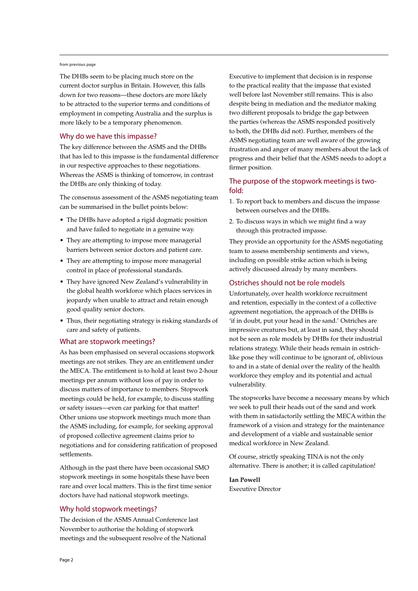#### from previous page

The DHBs seem to be placing much store on the current doctor surplus in Britain. However, this falls down for two reasons—these doctors are more likely to be attracted to the superior terms and conditions of employment in competing Australia and the surplus is more likely to be a temporary phenomenon.

#### Why do we have this impasse?

The key difference between the ASMS and the DHBs that has led to this impasse is the fundamental difference in our respective approaches to these negotiations. Whereas the ASMS is thinking of tomorrow, in contrast the DHBs are only thinking of today.

The consensus assessment of the ASMS negotiating team can be summarised in the bullet points below:

- The DHBs have adopted a rigid dogmatic position and have failed to negotiate in a genuine way.
- They are attempting to impose more managerial barriers between senior doctors and patient care.
- They are attempting to impose more managerial control in place of professional standards.
- They have ignored New Zealand's vulnerability in the global health workforce which places services in jeopardy when unable to attract and retain enough good quality senior doctors.
- Thus, their negotiating strategy is risking standards of care and safety of patients.

#### What are stopwork meetings?

As has been emphasised on several occasions stopwork meetings are not strikes. They are an entitlement under the MECA. The entitlement is to hold at least two 2-hour meetings per annum without loss of pay in order to discuss matters of importance to members. Stopwork meetings could be held, for example, to discuss staffing or safety issues—even car parking for that matter! Other unions use stopwork meetings much more than the ASMS including, for example, for seeking approval of proposed collective agreement claims prior to negotiations and for considering ratification of proposed settlements.

Although in the past there have been occasional SMO stopwork meetings in some hospitals these have been rare and over local matters. This is the first time senior doctors have had national stopwork meetings.

#### Why hold stopwork meetings?

The decision of the ASMS Annual Conference last November to authorise the holding of stopwork meetings and the subsequent resolve of the National Executive to implement that decision is in response to the practical reality that the impasse that existed well before last November still remains. This is also despite being in mediation and the mediator making two different proposals to bridge the gap between the parties (whereas the ASMS responded positively to both, the DHBs did not). Further, members of the ASMS negotiating team are well aware of the growing frustration and anger of many members about the lack of progress and their belief that the ASMS needs to adopt a firmer position.

#### The purpose of the stopwork meetings is twofold:

- 1. To report back to members and discuss the impasse between ourselves and the DHBs.
- 2. To discuss ways in which we might find a way through this protracted impasse.

They provide an opportunity for the ASMS negotiating team to assess membership sentiments and views, including on possible strike action which is being actively discussed already by many members.

#### Ostriches should not be role models

Unfortunately, over health workforce recruitment and retention, especially in the context of a collective agreement negotiation, the approach of the DHBs is 'if in doubt, put your head in the sand.' Ostriches are impressive creatures but, at least in sand, they should not be seen as role models by DHBs for their industrial relations strategy. While their heads remain in ostrichlike pose they will continue to be ignorant of, oblivious to and in a state of denial over the reality of the health workforce they employ and its potential and actual vulnerability.

The stopworks have become a necessary means by which we seek to pull their heads out of the sand and work with them in satisfactorily settling the MECA within the framework of a vision and strategy for the maintenance and development of a viable and sustainable senior medical workforce in New Zealand.

Of course, strictly speaking TINA is not the only alternative. There is another; it is called capitulation!

**Ian Powell** Executive Director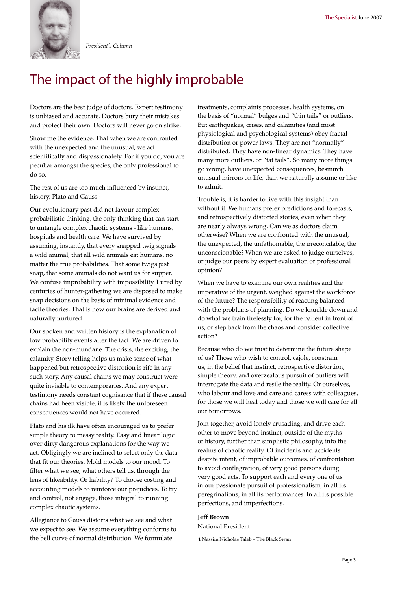

*President's Column*

# The impact of the highly improbable

Doctors are the best judge of doctors. Expert testimony is unbiased and accurate. Doctors bury their mistakes and protect their own. Doctors will never go on strike.

Show me the evidence. That when we are confronted with the unexpected and the unusual, we act scientifically and dispassionately. For if you do, you are peculiar amongst the species, the only professional to do so.

The rest of us are too much influenced by instinct, history, Plato and Gauss.<sup>1</sup>

Our evolutionary past did not favour complex probabilistic thinking, the only thinking that can start to untangle complex chaotic systems - like humans, hospitals and health care. We have survived by assuming, instantly, that every snapped twig signals a wild animal, that all wild animals eat humans, no matter the true probabilities. That some twigs just snap, that some animals do not want us for supper. We confuse improbability with impossibility. Lured by centuries of hunter-gathering we are disposed to make snap decisions on the basis of minimal evidence and facile theories. That is how our brains are derived and naturally nurtured.

Our spoken and written history is the explanation of low probability events after the fact. We are driven to explain the non-mundane. The crisis, the exciting, the calamity. Story telling helps us make sense of what happened but retrospective distortion is rife in any such story. Any causal chains we may construct were quite invisible to contemporaries. And any expert testimony needs constant cognisance that if these causal chains had been visible, it is likely the unforeseen consequences would not have occurred.

Plato and his ilk have often encouraged us to prefer simple theory to messy reality. Easy and linear logic over dirty dangerous explanations for the way we act. Obligingly we are inclined to select only the data that fit our theories. Mold models to our mood. To filter what we see, what others tell us, through the lens of likeability. Or liability? To choose costing and accounting models to reinforce our prejudices. To try and control, not engage, those integral to running complex chaotic systems.

Allegiance to Gauss distorts what we see and what we expect to see. We assume everything conforms to the bell curve of normal distribution. We formulate

treatments, complaints processes, health systems, on the basis of "normal" bulges and "thin tails" or outliers. But earthquakes, crises, and calamities (and most physiological and psychological systems) obey fractal distribution or power laws. They are not "normally" distributed. They have non-linear dynamics. They have many more outliers, or "fat tails". So many more things go wrong, have unexpected consequences, besmirch unusual mirrors on life, than we naturally assume or like to admit.

Trouble is, it is harder to live with this insight than without it. We humans prefer predictions and forecasts, and retrospectively distorted stories, even when they are nearly always wrong. Can we as doctors claim otherwise? When we are confronted with the unusual, the unexpected, the unfathomable, the irreconcilable, the unconscionable? When we are asked to judge ourselves, or judge our peers by expert evaluation or professional opinion?

When we have to examine our own realities and the imperative of the urgent, weighed against the workforce of the future? The responsibility of reacting balanced with the problems of planning. Do we knuckle down and do what we train tirelessly for, for the patient in front of us, or step back from the chaos and consider collective action?

Because who do we trust to determine the future shape of us? Those who wish to control, cajole, constrain us, in the belief that instinct, retrospective distortion, simple theory, and overzealous pursuit of outliers will interrogate the data and resile the reality. Or ourselves, who labour and love and care and caress with colleagues, for those we will heal today and those we will care for all our tomorrows.

Join together, avoid lonely crusading, and drive each other to move beyond instinct, outside of the myths of history, further than simplistic philosophy, into the realms of chaotic reality. Of incidents and accidents despite intent, of improbable outcomes, of confrontation to avoid conflagration, of very good persons doing very good acts. To support each and every one of us in our passionate pursuit of professionalism, in all its peregrinations, in all its performances. In all its possible perfections, and imperfections.

#### **Jeff Brown**

National President

**1** Nassim Nicholas Taleb – The Black Swan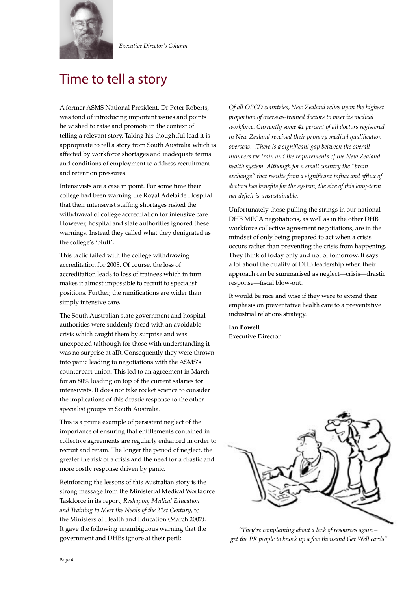

# Time to tell a story

A former ASMS National President, Dr Peter Roberts, was fond of introducing important issues and points he wished to raise and promote in the context of telling a relevant story. Taking his thoughtful lead it is appropriate to tell a story from South Australia which is affected by workforce shortages and inadequate terms and conditions of employment to address recruitment and retention pressures.

Intensivists are a case in point. For some time their college had been warning the Royal Adelaide Hospital that their intensivist staffing shortages risked the withdrawal of college accreditation for intensive care. However, hospital and state authorities ignored these warnings. Instead they called what they denigrated as the college's 'bluff'.

This tactic failed with the college withdrawing accreditation for 2008. Of course, the loss of accreditation leads to loss of trainees which in turn makes it almost impossible to recruit to specialist positions. Further, the ramifications are wider than simply intensive care.

The South Australian state government and hospital authorities were suddenly faced with an avoidable crisis which caught them by surprise and was unexpected (although for those with understanding it was no surprise at all). Consequently they were thrown into panic leading to negotiations with the ASMS's counterpart union. This led to an agreement in March for an 80% loading on top of the current salaries for intensivists. It does not take rocket science to consider the implications of this drastic response to the other specialist groups in South Australia.

This is a prime example of persistent neglect of the importance of ensuring that entitlements contained in collective agreements are regularly enhanced in order to recruit and retain. The longer the period of neglect, the greater the risk of a crisis and the need for a drastic and more costly response driven by panic.

Reinforcing the lessons of this Australian story is the strong message from the Ministerial Medical Workforce Taskforce in its report, *Reshaping Medical Education and Training to Meet the Needs of the 21st Century,* to the Ministers of Health and Education (March 2007). It gave the following unambiguous warning that the government and DHBs ignore at their peril:

*Of all OECD countries, New Zealand relies upon the highest proportion of overseas-trained doctors to meet its medical workforce. Currently some 41 percent of all doctors registered in New Zealand received their primary medical qualification overseas…There is a significant gap between the overall numbers we train and the requirements of the New Zealand health system. Although for a small country the "brain exchange" that results from a significant influx and efflux of doctors has benefits for the system, the size of this long-term net deficit is unsustainable.*

Unfortunately those pulling the strings in our national DHB MECA negotiations, as well as in the other DHB workforce collective agreement negotiations, are in the mindset of only being prepared to act when a crisis occurs rather than preventing the crisis from happening. They think of today only and not of tomorrow. It says a lot about the quality of DHB leadership when their approach can be summarised as neglect—crisis—drastic response—fiscal blow-out.

It would be nice and wise if they were to extend their emphasis on preventative health care to a preventative industrial relations strategy.

**Ian Powell** Executive Director



*"They're complaining about a lack of resources again – get the PR people to knock up a few thousand Get Well cards"*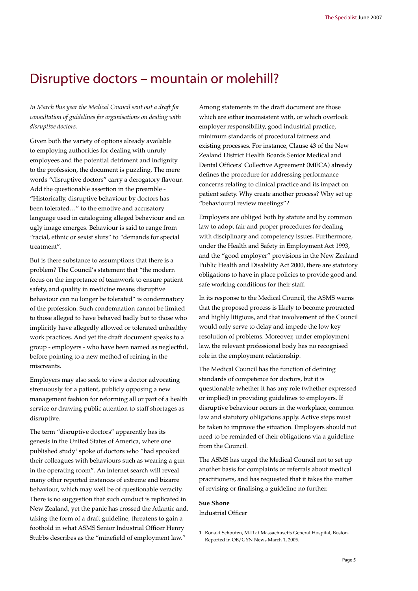### Disruptive doctors – mountain or molehill?

*In March this year the Medical Council sent out a draft for consultation of guidelines for organisations on dealing with disruptive doctors.* 

Given both the variety of options already available to employing authorities for dealing with unruly employees and the potential detriment and indignity to the profession, the document is puzzling. The mere words "disruptive doctors" carry a derogatory flavour. Add the questionable assertion in the preamble - "Historically, disruptive behaviour by doctors has been tolerated…" to the emotive and accusatory language used in cataloguing alleged behaviour and an ugly image emerges. Behaviour is said to range from "racial, ethnic or sexist slurs" to "demands for special treatment".

But is there substance to assumptions that there is a problem? The Council's statement that "the modern focus on the importance of teamwork to ensure patient safety, and quality in medicine means disruptive behaviour can no longer be tolerated" is condemnatory of the profession. Such condemnation cannot be limited to those alleged to have behaved badly but to those who implicitly have allegedly allowed or tolerated unhealthy work practices. And yet the draft document speaks to a group - employers - who have been named as neglectful, before pointing to a new method of reining in the miscreants.

Employers may also seek to view a doctor advocating strenuously for a patient, publicly opposing a new management fashion for reforming all or part of a health service or drawing public attention to staff shortages as disruptive.

The term "disruptive doctors" apparently has its genesis in the United States of America, where one published study<sup>1</sup> spoke of doctors who "had spooked their colleagues with behaviours such as wearing a gun in the operating room". An internet search will reveal many other reported instances of extreme and bizarre behaviour, which may well be of questionable veracity. There is no suggestion that such conduct is replicated in New Zealand, yet the panic has crossed the Atlantic and, taking the form of a draft guideline, threatens to gain a foothold in what ASMS Senior Industrial Officer Henry Stubbs describes as the "minefield of employment law."

Among statements in the draft document are those which are either inconsistent with, or which overlook employer responsibility, good industrial practice, minimum standards of procedural fairness and existing processes. For instance, Clause 43 of the New Zealand District Health Boards Senior Medical and Dental Officers' Collective Agreement (MECA) already defines the procedure for addressing performance concerns relating to clinical practice and its impact on patient safety. Why create another process? Why set up "behavioural review meetings"?

Employers are obliged both by statute and by common law to adopt fair and proper procedures for dealing with disciplinary and competency issues. Furthermore, under the Health and Safety in Employment Act 1993, and the "good employer" provisions in the New Zealand Public Health and Disability Act 2000, there are statutory obligations to have in place policies to provide good and safe working conditions for their staff.

In its response to the Medical Council, the ASMS warns that the proposed process is likely to become protracted and highly litigious, and that involvement of the Council would only serve to delay and impede the low key resolution of problems. Moreover, under employment law, the relevant professional body has no recognised role in the employment relationship.

The Medical Council has the function of defining standards of competence for doctors, but it is questionable whether it has any role (whether expressed or implied) in providing guidelines to employers. If disruptive behaviour occurs in the workplace, common law and statutory obligations apply. Active steps must be taken to improve the situation. Employers should not need to be reminded of their obligations via a guideline from the Council.

The ASMS has urged the Medical Council not to set up another basis for complaints or referrals about medical practitioners, and has requested that it takes the matter of revising or finalising a guideline no further.

#### **Sue Shone**

Industrial Officer

**<sup>1</sup>** Ronald Schouten, M.D at Massachusetts General Hospital, Boston. Reported in OB/GYN News March 1, 2005.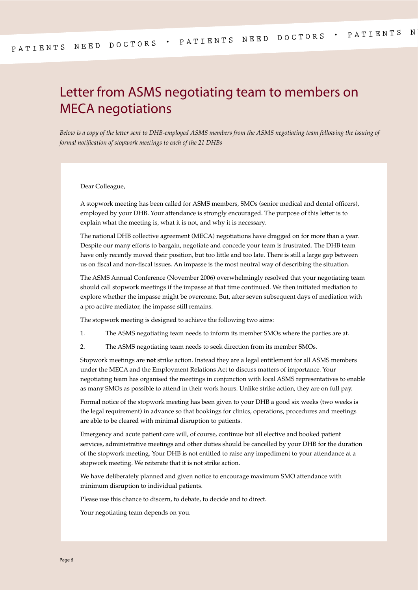## Letter from ASMS negotiating team to members on MECA negotiations

*Below is a copy of the letter sent to DHB-employed ASMS members from the ASMS negotiating team following the issuing of formal notification of stopwork meetings to each of the 21 DHBs*

Dear Colleague,

A stopwork meeting has been called for ASMS members, SMOs (senior medical and dental officers), employed by your DHB. Your attendance is strongly encouraged. The purpose of this letter is to explain what the meeting is, what it is not, and why it is necessary.

The national DHB collective agreement (MECA) negotiations have dragged on for more than a year. Despite our many efforts to bargain, negotiate and concede your team is frustrated. The DHB team have only recently moved their position, but too little and too late. There is still a large gap between us on fiscal and non-fiscal issues. An impasse is the most neutral way of describing the situation.

The ASMS Annual Conference (November 2006) overwhelmingly resolved that your negotiating team should call stopwork meetings if the impasse at that time continued. We then initiated mediation to explore whether the impasse might be overcome. But, after seven subsequent days of mediation with a pro active mediator, the impasse still remains.

The stopwork meeting is designed to achieve the following two aims:

- 1. The ASMS negotiating team needs to inform its member SMOs where the parties are at.
- 2. The ASMS negotiating team needs to seek direction from its member SMOs.

Stopwork meetings are **not** strike action. Instead they are a legal entitlement for all ASMS members under the MECA and the Employment Relations Act to discuss matters of importance. Your negotiating team has organised the meetings in conjunction with local ASMS representatives to enable as many SMOs as possible to attend in their work hours. Unlike strike action, they are on full pay.

Formal notice of the stopwork meeting has been given to your DHB a good six weeks (two weeks is the legal requirement) in advance so that bookings for clinics, operations, procedures and meetings are able to be cleared with minimal disruption to patients.

Emergency and acute patient care will, of course, continue but all elective and booked patient services, administrative meetings and other duties should be cancelled by your DHB for the duration of the stopwork meeting. Your DHB is not entitled to raise any impediment to your attendance at a stopwork meeting. We reiterate that it is not strike action.

We have deliberately planned and given notice to encourage maximum SMO attendance with minimum disruption to individual patients.

Please use this chance to discern, to debate, to decide and to direct.

Your negotiating team depends on you.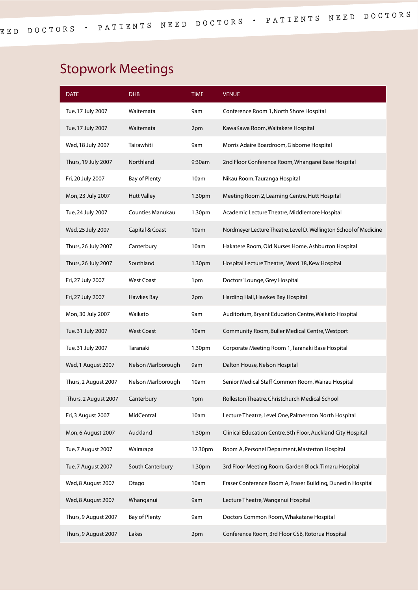# Stopwork Meetings

| <b>DATE</b>          | <b>DHB</b>              | <b>TIME</b>        | <b>VENUE</b>                                                      |
|----------------------|-------------------------|--------------------|-------------------------------------------------------------------|
| Tue, 17 July 2007    | Waitemata               | 9am                | Conference Room 1, North Shore Hospital                           |
| Tue, 17 July 2007    | Waitemata               | 2pm                | KawaKawa Room, Waitakere Hospital                                 |
| Wed, 18 July 2007    | Tairawhiti              | 9am                | Morris Adaire Boardroom, Gisborne Hospital                        |
| Thurs, 19 July 2007  | Northland               | 9:30am             | 2nd Floor Conference Room, Whangarei Base Hospital                |
| Fri, 20 July 2007    | <b>Bay of Plenty</b>    | 10am               | Nikau Room, Tauranga Hospital                                     |
| Mon, 23 July 2007    | <b>Hutt Valley</b>      | 1.30 <sub>pm</sub> | Meeting Room 2, Learning Centre, Hutt Hospital                    |
| Tue, 24 July 2007    | <b>Counties Manukau</b> | 1.30 <sub>pm</sub> | Academic Lecture Theatre, Middlemore Hospital                     |
| Wed, 25 July 2007    | Capital & Coast         | 10am               | Nordmeyer Lecture Theatre, Level D, Wellington School of Medicine |
| Thurs, 26 July 2007  | Canterbury              | 10am               | Hakatere Room, Old Nurses Home, Ashburton Hospital                |
| Thurs, 26 July 2007  | Southland               | 1.30pm             | Hospital Lecture Theatre, Ward 18, Kew Hospital                   |
| Fri, 27 July 2007    | <b>West Coast</b>       | 1pm                | Doctors' Lounge, Grey Hospital                                    |
| Fri, 27 July 2007    | Hawkes Bay              | 2pm                | Harding Hall, Hawkes Bay Hospital                                 |
| Mon, 30 July 2007    | Waikato                 | 9am                | Auditorium, Bryant Education Centre, Waikato Hospital             |
| Tue, 31 July 2007    | <b>West Coast</b>       | 10am               | Community Room, Buller Medical Centre, Westport                   |
| Tue, 31 July 2007    | Taranaki                | 1.30pm             | Corporate Meeting Room 1, Taranaki Base Hospital                  |
| Wed, 1 August 2007   | Nelson Marlborough      | 9am                | Dalton House, Nelson Hospital                                     |
| Thurs, 2 August 2007 | Nelson Marlborough      | 10am               | Senior Medical Staff Common Room, Wairau Hospital                 |
| Thurs, 2 August 2007 | Canterbury              | 1pm                | Rolleston Theatre, Christchurch Medical School                    |
| Fri, 3 August 2007   | MidCentral              | 10am               | Lecture Theatre, Level One, Palmerston North Hospital             |
| Mon, 6 August 2007   | Auckland                | 1.30pm             | Clinical Education Centre, 5th Floor, Auckland City Hospital      |
| Tue, 7 August 2007   | Wairarapa               | 12.30pm            | Room A, Personel Deparment, Masterton Hospital                    |
| Tue, 7 August 2007   | South Canterbury        | 1.30pm             | 3rd Floor Meeting Room, Garden Block, Timaru Hospital             |
| Wed, 8 August 2007   | Otago                   | 10am               | Fraser Conference Room A, Fraser Building, Dunedin Hospital       |
| Wed, 8 August 2007   | Whanganui               | 9am                | Lecture Theatre, Wanganui Hospital                                |
| Thurs, 9 August 2007 | <b>Bay of Plenty</b>    | 9am                | Doctors Common Room, Whakatane Hospital                           |
| Thurs, 9 August 2007 | Lakes                   | 2pm                | Conference Room, 3rd Floor CSB, Rotorua Hospital                  |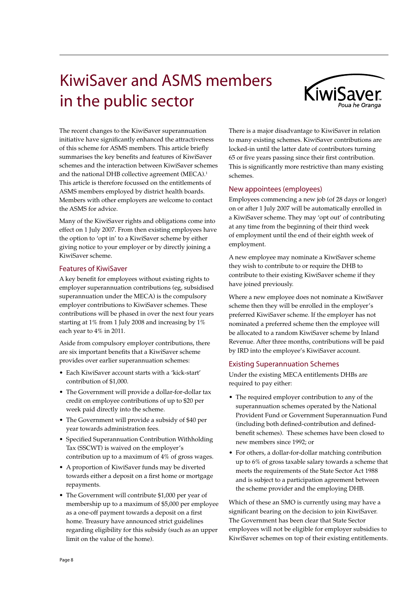# KiwiSaver and ASMS members in the public sector



The recent changes to the KiwiSaver superannuation initiative have significantly enhanced the attractiveness of this scheme for ASMS members. This article briefly summarises the key benefits and features of KiwiSaver schemes and the interaction between KiwiSaver schemes and the national DHB collective agreement (MECA).<sup>1</sup> This article is therefore focussed on the entitlements of ASMS members employed by district health boards. Members with other employers are welcome to contact the ASMS for advice.

Many of the KiwiSaver rights and obligations come into effect on 1 July 2007. From then existing employees have the option to 'opt in' to a KiwiSaver scheme by either giving notice to your employer or by directly joining a KiwiSaver scheme.

#### Features of KiwiSaver

A key benefit for employees without existing rights to employer superannuation contributions (eg, subsidised superannuation under the MECA) is the compulsory employer contributions to KiwiSaver schemes. These contributions will be phased in over the next four years starting at 1% from 1 July 2008 and increasing by 1% each year to 4% in 2011.

Aside from compulsory employer contributions, there are six important benefits that a KiwiSaver scheme provides over earlier superannuation schemes:

- Each KiwiSaver account starts with a 'kick-start' contribution of \$1,000.
- The Government will provide a dollar-for-dollar tax credit on employee contributions of up to \$20 per week paid directly into the scheme.
- The Government will provide a subsidy of \$40 per year towards administration fees.
- Specified Superannuation Contribution Withholding Tax (SSCWT) is waived on the employer's contribution up to a maximum of 4% of gross wages.
- A proportion of KiwiSaver funds may be diverted towards either a deposit on a first home or mortgage repayments.
- The Government will contribute \$1,000 per year of membership up to a maximum of \$5,000 per employee as a one-off payment towards a deposit on a first home. Treasury have announced strict guidelines regarding eligibility for this subsidy (such as an upper limit on the value of the home).

There is a major disadvantage to KiwiSaver in relation to many existing schemes. KiwiSaver contributions are locked-in until the latter date of contributors turning 65 or five years passing since their first contribution. This is significantly more restrictive than many existing schemes.

#### New appointees (employees)

Employees commencing a new job (of 28 days or longer) on or after 1 July 2007 will be automatically enrolled in a KiwiSaver scheme. They may 'opt out' of contributing at any time from the beginning of their third week of employment until the end of their eighth week of employment.

A new employee may nominate a KiwiSaver scheme they wish to contribute to or require the DHB to contribute to their existing KiwiSaver scheme if they have joined previously.

Where a new employee does not nominate a KiwiSaver scheme then they will be enrolled in the employer's preferred KiwiSaver scheme. If the employer has not nominated a preferred scheme then the employee will be allocated to a random KiwiSaver scheme by Inland Revenue. After three months, contributions will be paid by IRD into the employee's KiwiSaver account.

#### Existing Superannuation Schemes

Under the existing MECA entitlements DHBs are required to pay either:

- The required employer contribution to any of the superannuation schemes operated by the National Provident Fund or Government Superannuation Fund (including both defined-contribution and definedbenefit schemes). These schemes have been closed to new members since 1992; or
- For others, a dollar-for-dollar matching contribution up to 6% of gross taxable salary towards a scheme that meets the requirements of the State Sector Act 1988 and is subject to a participation agreement between the scheme provider and the employing DHB.

Which of these an SMO is currently using may have a significant bearing on the decision to join KiwiSaver. The Government has been clear that State Sector employees will not be eligible for employer subsidies to KiwiSaver schemes on top of their existing entitlements.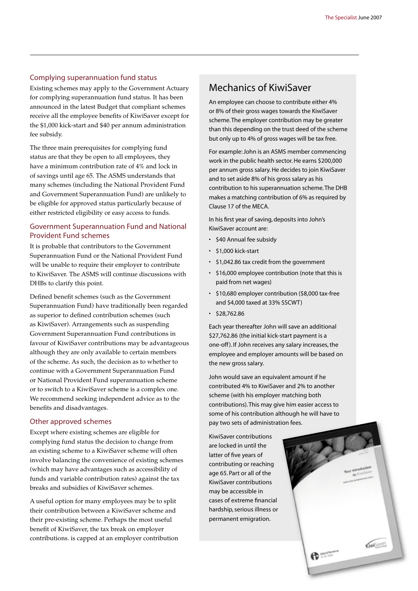#### Complying superannuation fund status

Existing schemes may apply to the Government Actuary for complying superannuation fund status. It has been announced in the latest Budget that compliant schemes receive all the employee benefits of KiwiSaver except for the \$1,000 kick-start and \$40 per annum administration fee subsidy.

The three main prerequisites for complying fund status are that they be open to all employees, they have a minimum contribution rate of 4% and lock in of savings until age 65. The ASMS understands that many schemes (including the National Provident Fund and Government Superannuation Fund) are unlikely to be eligible for approved status particularly because of either restricted eligibility or easy access to funds.

#### Government Superannuation Fund and National Provident Fund schemes

It is probable that contributors to the Government Superannuation Fund or the National Provident Fund will be unable to require their employer to contribute to KiwiSaver. The ASMS will continue discussions with DHBs to clarify this point.

Defined benefit schemes (such as the Government Superannuation Fund) have traditionally been regarded as superior to defined contribution schemes (such as KiwiSaver). Arrangements such as suspending Government Superannuation Fund contributions in favour of KiwiSaver contributions may be advantageous although they are only available to certain members of the scheme. As such, the decision as to whether to continue with a Government Superannuation Fund or National Provident Fund superannuation scheme or to switch to a KiwiSaver scheme is a complex one. We recommend seeking independent advice as to the benefits and disadvantages.

#### Other approved schemes

Except where existing schemes are eligible for complying fund status the decision to change from an existing scheme to a KiwiSaver scheme will often involve balancing the convenience of existing schemes (which may have advantages such as accessibility of funds and variable contribution rates) against the tax breaks and subsidies of KiwiSaver schemes.

A useful option for many employees may be to split their contribution between a KiwiSaver scheme and their pre-existing scheme. Perhaps the most useful benefit of KiwiSaver, the tax break on employer contributions. is capped at an employer contribution

#### Mechanics of KiwiSaver

An employee can choose to contribute either 4% or 8% of their gross wages towards the KiwiSaver scheme. The employer contribution may be greater than this depending on the trust deed of the scheme but only up to 4% of gross wages will be tax free.

For example: John is an ASMS member commencing work in the public health sector. He earns \$200,000 per annum gross salary. He decides to join KiwiSaver and to set aside 8% of his gross salary as his contribution to his superannuation scheme. The DHB makes a matching contribution of 6% as required by Clause 17 of the MECA.

In his first year of saving, deposits into John's KiwiSaver account are:

- \$40 Annual fee subsidy
- \$1,000 kick-start
- \$1,042.86 tax credit from the government
- \$16,000 employee contribution (note that this is paid from net wages)
- \$10,680 employer contribution (\$8,000 tax-free and \$4,000 taxed at 33% SSCWT)
- \$28,762.86

Each year thereafter John will save an additional \$27,762.86 (the initial kick-start payment is a one-off ). If John receives any salary increases, the employee and employer amounts will be based on the new gross salary.

John would save an equivalent amount if he contributed 4% to KiwiSaver and 2% to another scheme (with his employer matching both contributions). This may give him easier access to some of his contribution although he will have to pay two sets of administration fees.

KiwiSaver contributions are locked in until the latter of five years of contributing or reaching age 65. Part or all of the KiwiSaver contributions may be accessible in cases of extreme financial hardship, serious illness or permanent emigration.

**COMMENCE**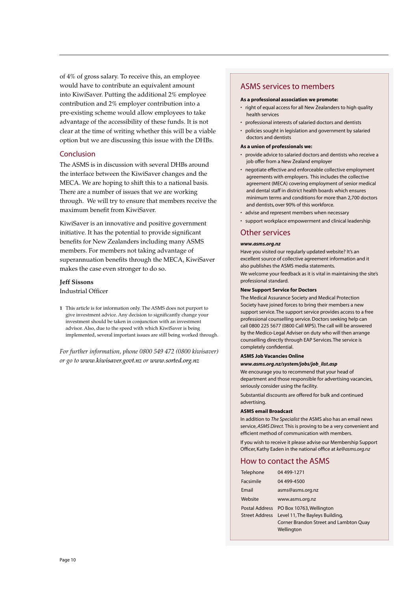of 4% of gross salary. To receive this, an employee would have to contribute an equivalent amount into KiwiSaver. Putting the additional 2% employee contribution and 2% employer contribution into a pre-existing scheme would allow employees to take advantage of the accessibility of these funds. It is not clear at the time of writing whether this will be a viable option but we are discussing this issue with the DHBs.

#### Conclusion

The ASMS is in discussion with several DHBs around the interface between the KiwiSaver changes and the MECA. We are hoping to shift this to a national basis. There are a number of issues that we are working through. We will try to ensure that members receive the maximum benefit from KiwiSaver.

KiwiSaver is an innovative and positive government initiative. It has the potential to provide significant benefits for New Zealanders including many ASMS members. For members not taking advantage of superannuation benefits through the MECA, KiwiSaver makes the case even stronger to do so.

#### **Jeff Sissons**

Industrial Officer

**1** This article is for information only. The ASMS does not purport to give investment advice. Any decision to significantly change your investment should be taken in conjunction with an investment advisor. Also, due to the speed with which KiwiSaver is being implemented, several important issues are still being worked through.

*For further information, phone 0800 549 472 (0800 kiwisaver) or go to www.kiwisaver.govt.nz or www.sorted.org.nz*

#### ASMS services to members

#### **As a professional association we promote:**

- right of equal access for all New Zealanders to high quality health services
- professional interests of salaried doctors and dentists
- policies sought in legislation and government by salaried doctors and dentists

#### **As a union of professionals we:**

- provide advice to salaried doctors and dentists who receive a job offer from a New Zealand employer
- negotiate effective and enforceable collective employment agreements with employers. This includes the collective agreement (MECA) covering employment of senior medical and dental staff in district health boards which ensures minimum terms and conditions for more than 2,700 doctors and dentists, over 90% of this workforce.
- advise and represent members when necessary
- support workplace empowerment and clinical leadership

#### Other services

#### *www.asms.org.nz*

Have you visited our regularly updated website? It's an excellent source of collective agreement information and it also publishes the ASMS media statements. We welcome your feedback as it is vital in maintaining the site's professional standard.

#### **New Support Service for Doctors**

The Medical Assurance Society and Medical Protection Society have joined forces to bring their members a new support service. The support service provides access to a free professional counselling service. Doctors seeking help can call 0800 225 5677 (0800 Call MPS). The call will be answered by the Medico-Legal Adviser on duty who will then arrange counselling directly through EAP Services. The service is completely confidential.

#### **ASMS Job Vacancies Online**

#### *www.asms.org.nz/system/jobs/job\_list.asp*

We encourage you to recommend that your head of department and those responsible for advertising vacancies, seriously consider using the facility.

Substantial discounts are offered for bulk and continued advertising.

#### **ASMS email Broadcast**

In addition to *The Specialist* the ASMS also has an email news service, *ASMS Direct.* This is proving to be a very convenient and efficient method of communication with members.

If you wish to receive it please advise our Membership Support Officer, Kathy Eaden in the national office at *ke@asms.org.nz*

#### How to contact the ASMS

| Telephone | 04 499-1271                                    |
|-----------|------------------------------------------------|
| Facsimile | 04 499-4500                                    |
| Email     | asms@asms.org.nz                               |
| Website   | www.asms.org.nz                                |
|           | Postal Address PO Box 10763, Wellington        |
|           | Street Address Level 11, The Bayleys Building, |
|           | Corner Brandon Street and Lambton Quay         |
|           | Wellington                                     |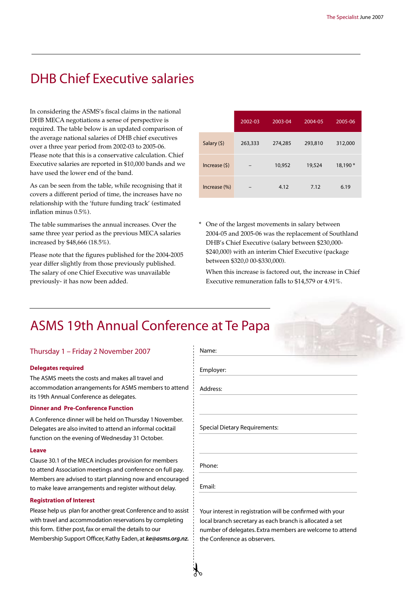# DHB Chief Executive salaries

In considering the ASMS's fiscal claims in the national DHB MECA negotiations a sense of perspective is required. The table below is an updated comparison of the average national salaries of DHB chief executives over a three year period from 2002-03 to 2005-06. Please note that this is a conservative calculation. Chief Executive salaries are reported in \$10,000 bands and we have used the lower end of the band.

As can be seen from the table, while recognising that it covers a different period of time, the increases have no relationship with the 'future funding track' (estimated inflation minus 0.5%).

The table summarises the annual increases. Over the same three year period as the previous MECA salaries increased by \$48,666 (18.5%).

Please note that the figures published for the 2004-2005 year differ slightly from those previously published. The salary of one Chief Executive was unavailable previously- it has now been added.

|                 | 2002-03 | 2003-04 | 2004-05 | 2005-06  |
|-----------------|---------|---------|---------|----------|
| Salary (\$)     | 263,333 | 274,285 | 293,810 | 312,000  |
| Increase $(5)$  |         | 10,952  | 19,524  | 18,190 * |
| $Increase (\%)$ |         | 4.12    | 7.12    | 6.19     |

\* One of the largest movements in salary between 2004-05 and 2005-06 was the replacement of Southland DHB's Chief Executive (salary between \$230,000- \$240,000) with an interim Chief Executive (package between \$320,0 00-\$330,000).

 When this increase is factored out, the increase in Chief Executive remuneration falls to \$14,579 or 4.91%.

# ASMS 19th Annual Conference at Te Papa

Thursday 1 – Friday 2 November 2007

#### **Delegates required**

The ASMS meets the costs and makes all travel and accommodation arrangements for ASMS members to attend its 19th Annual Conference as delegates.

#### **Dinner and Pre-Conference Function**

A Conference dinner will be held on Thursday 1November. Delegates are also invited to attend an informal cocktail function on the evening of Wednesday 31 October.

#### **Leave**

Clause 30.1 of the MECA includes provision for members to attend Association meetings and conference on full pay. Members are advised to start planning now and encouraged to make leave arrangements and register without delay.

#### **Registration of Interest**

Please help us plan for another great Conference and to assist with travel and accommodation reservations by completing this form. Either post, fax or email the details to our Membership Support Officer, Kathy Eaden, at **ke@asms.org.nz.**

| Name:                                |  |
|--------------------------------------|--|
| Employer:                            |  |
| Address:                             |  |
|                                      |  |
| <b>Special Dietary Requirements:</b> |  |
|                                      |  |
| Phone:                               |  |
|                                      |  |

local branch secretary as each branch is allocated a set number of delegates. Extra members are welcome to attend the Conference as observers.